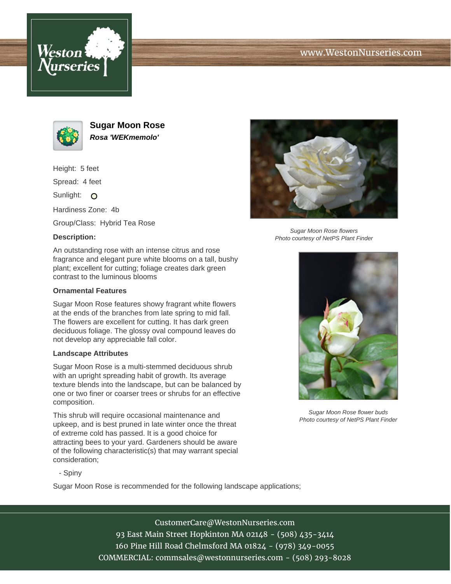





**Sugar Moon Rose Rosa 'WEKmemolo'**

Height: 5 feet

Spread: 4 feet

Sunlight: O

Hardiness Zone: 4b

Group/Class: Hybrid Tea Rose

## **Description:**

An outstanding rose with an intense citrus and rose fragrance and elegant pure white blooms on a tall, bushy plant; excellent for cutting; foliage creates dark green contrast to the luminous blooms

### **Ornamental Features**

Sugar Moon Rose features showy fragrant white flowers at the ends of the branches from late spring to mid fall. The flowers are excellent for cutting. It has dark green deciduous foliage. The glossy oval compound leaves do not develop any appreciable fall color.

#### **Landscape Attributes**

Sugar Moon Rose is a multi-stemmed deciduous shrub with an upright spreading habit of growth. Its average texture blends into the landscape, but can be balanced by one or two finer or coarser trees or shrubs for an effective composition.

This shrub will require occasional maintenance and upkeep, and is best pruned in late winter once the threat of extreme cold has passed. It is a good choice for attracting bees to your yard. Gardeners should be aware of the following characteristic(s) that may warrant special consideration;



Sugar Moon Rose flowers Photo courtesy of NetPS Plant Finder



Sugar Moon Rose flower buds Photo courtesy of NetPS Plant Finder

- Spiny

Sugar Moon Rose is recommended for the following landscape applications;

CustomerCare@WestonNurseries.com 93 East Main Street Hopkinton MA 02148 - (508) 435-3414 160 Pine Hill Road Chelmsford MA 01824 - (978) 349-0055 COMMERCIAL: commsales@westonnurseries.com - (508) 293-8028